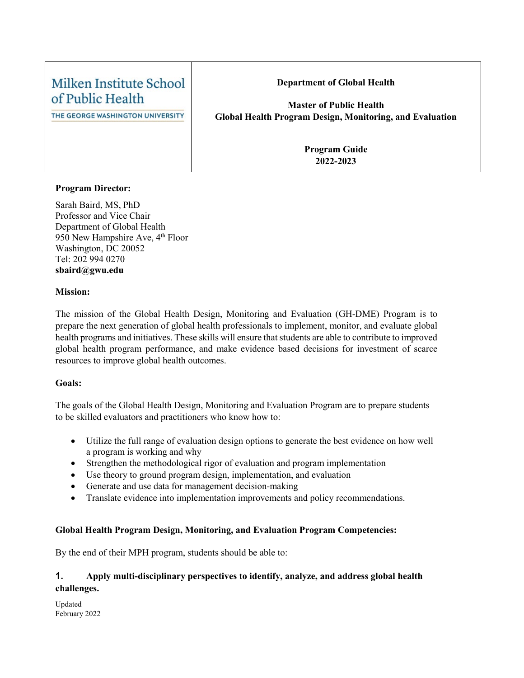| Milken Institute School                              | <b>Department of Global Health</b>                                                                |
|------------------------------------------------------|---------------------------------------------------------------------------------------------------|
| of Public Health<br>THE GEORGE WASHINGTON UNIVERSITY | <b>Master of Public Health</b><br><b>Global Health Program Design, Monitoring, and Evaluation</b> |
|                                                      | <b>Program Guide</b><br>2022-2023                                                                 |

#### **Program Director:**

Sarah Baird, MS, PhD Professor and Vice Chair Department of Global Health 950 New Hampshire Ave,  $4<sup>th</sup>$  Floor Washington, DC 20052 Tel: 202 994 0270 **sbaird@gwu.edu**

#### **Mission:**

The mission of the Global Health Design, Monitoring and Evaluation (GH-DME) Program is to prepare the next generation of global health professionals to implement, monitor, and evaluate global health programs and initiatives. These skills will ensure that students are able to contribute to improved global health program performance, and make evidence based decisions for investment of scarce resources to improve global health outcomes.

#### **Goals:**

The goals of the Global Health Design, Monitoring and Evaluation Program are to prepare students to be skilled evaluators and practitioners who know how to:

- Utilize the full range of evaluation design options to generate the best evidence on how well a program is working and why
- Strengthen the methodological rigor of evaluation and program implementation
- Use theory to ground program design, implementation, and evaluation
- Generate and use data for management decision-making
- Translate evidence into implementation improvements and policy recommendations.

#### **Global Health Program Design, Monitoring, and Evaluation Program Competencies:**

By the end of their MPH program, students should be able to:

# **1. Apply multi-disciplinary perspectives to identify, analyze, and address global health challenges.**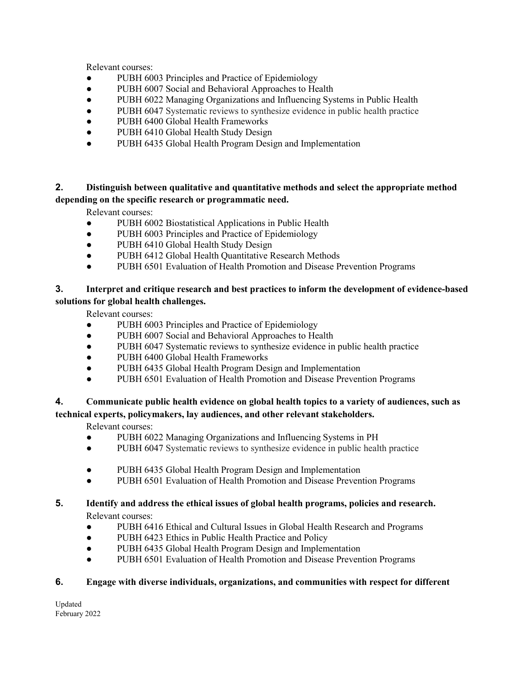Relevant courses:

- PUBH 6003 Principles and Practice of Epidemiology
- PUBH 6007 Social and Behavioral Approaches to Health
- PUBH 6022 Managing Organizations and Influencing Systems in Public Health
- PUBH 6047 Systematic reviews to synthesize evidence in public health practice
- PUBH 6400 Global Health Frameworks
- PUBH 6410 Global Health Study Design
- PUBH 6435 Global Health Program Design and Implementation

# **2. Distinguish between qualitative and quantitative methods and select the appropriate method depending on the specific research or programmatic need.**

Relevant courses:

- PUBH 6002 Biostatistical Applications in Public Health
- PUBH 6003 Principles and Practice of Epidemiology
- PUBH 6410 Global Health Study Design
- PUBH 6412 Global Health Quantitative Research Methods
- PUBH 6501 Evaluation of Health Promotion and Disease Prevention Programs

# **3. Interpret and critique research and best practices to inform the development of evidence-based solutions for global health challenges.**

Relevant courses:

- PUBH 6003 Principles and Practice of Epidemiology
- PUBH 6007 Social and Behavioral Approaches to Health
- PUBH 6047 Systematic reviews to synthesize evidence in public health practice
- PUBH 6400 Global Health Frameworks
- PUBH 6435 Global Health Program Design and Implementation
- PUBH 6501 Evaluation of Health Promotion and Disease Prevention Programs

# **4. Communicate public health evidence on global health topics to a variety of audiences, such as technical experts, policymakers, lay audiences, and other relevant stakeholders.**

Relevant courses:

- PUBH 6022 Managing Organizations and Influencing Systems in PH
- PUBH 6047 Systematic reviews to synthesize evidence in public health practice
- PUBH 6435 Global Health Program Design and Implementation
- PUBH 6501 Evaluation of Health Promotion and Disease Prevention Programs

#### **5. Identify and address the ethical issues of global health programs, policies and research.** Relevant courses:

- PUBH 6416 Ethical and Cultural Issues in Global Health Research and Programs
- PUBH 6423 Ethics in Public Health Practice and Policy
- PUBH 6435 Global Health Program Design and Implementation
- PUBH 6501 Evaluation of Health Promotion and Disease Prevention Programs

# **6. Engage with diverse individuals, organizations, and communities with respect for different**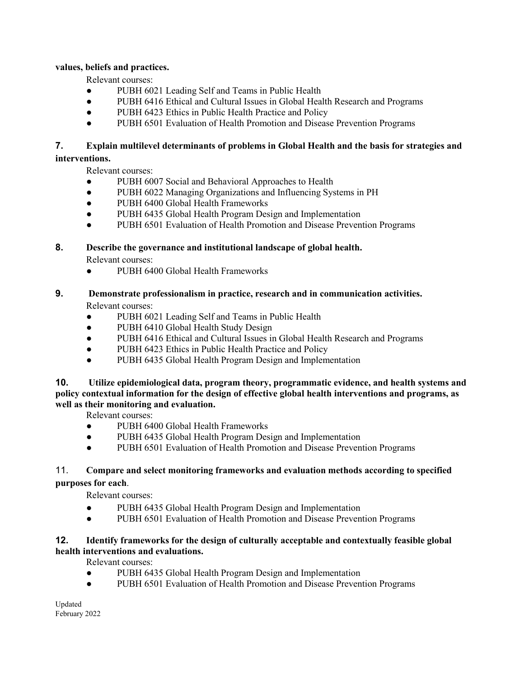#### **values, beliefs and practices.**

Relevant courses:

- PUBH 6021 Leading Self and Teams in Public Health
- PUBH 6416 Ethical and Cultural Issues in Global Health Research and Programs
- PUBH 6423 Ethics in Public Health Practice and Policy
- PUBH 6501 Evaluation of Health Promotion and Disease Prevention Programs

# **7. Explain multilevel determinants of problems in Global Health and the basis for strategies and interventions.**

Relevant courses:

- PUBH 6007 Social and Behavioral Approaches to Health
- PUBH 6022 Managing Organizations and Influencing Systems in PH
- PUBH 6400 Global Health Frameworks
- PUBH 6435 Global Health Program Design and Implementation
- PUBH 6501 Evaluation of Health Promotion and Disease Prevention Programs

#### **8. Describe the governance and institutional landscape of global health.**

Relevant courses:

- PUBH 6400 Global Health Frameworks
- **9. Demonstrate professionalism in practice, research and in communication activities.**  Relevant courses:
	- PUBH 6021 Leading Self and Teams in Public Health
	- PUBH 6410 Global Health Study Design
	- PUBH 6416 Ethical and Cultural Issues in Global Health Research and Programs
	- PUBH 6423 Ethics in Public Health Practice and Policy
	- PUBH 6435 Global Health Program Design and Implementation

**10. Utilize epidemiological data, program theory, programmatic evidence, and health systems and policy contextual information for the design of effective global health interventions and programs, as well as their monitoring and evaluation.**

Relevant courses:

- PUBH 6400 Global Health Frameworks
- PUBH 6435 Global Health Program Design and Implementation
- PUBH 6501 Evaluation of Health Promotion and Disease Prevention Programs

#### 11. **Compare and select monitoring frameworks and evaluation methods according to specified purposes for each**.

Relevant courses:

- PUBH 6435 Global Health Program Design and Implementation
- PUBH 6501 Evaluation of Health Promotion and Disease Prevention Programs

# **12. Identify frameworks for the design of culturally acceptable and contextually feasible global health interventions and evaluations.**

Relevant courses:

- PUBH 6435 Global Health Program Design and Implementation
- PUBH 6501 Evaluation of Health Promotion and Disease Prevention Programs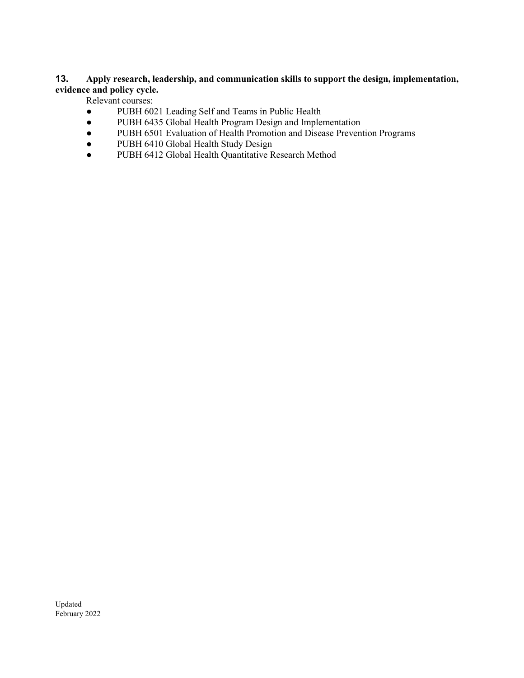#### **13. Apply research, leadership, and communication skills to support the design, implementation, evidence and policy cycle.**

Relevant courses:

- PUBH 6021 Leading Self and Teams in Public Health
- PUBH 6435 Global Health Program Design and Implementation
- PUBH 6501 Evaluation of Health Promotion and Disease Prevention Programs
- PUBH 6410 Global Health Study Design
- PUBH 6412 Global Health Quantitative Research Method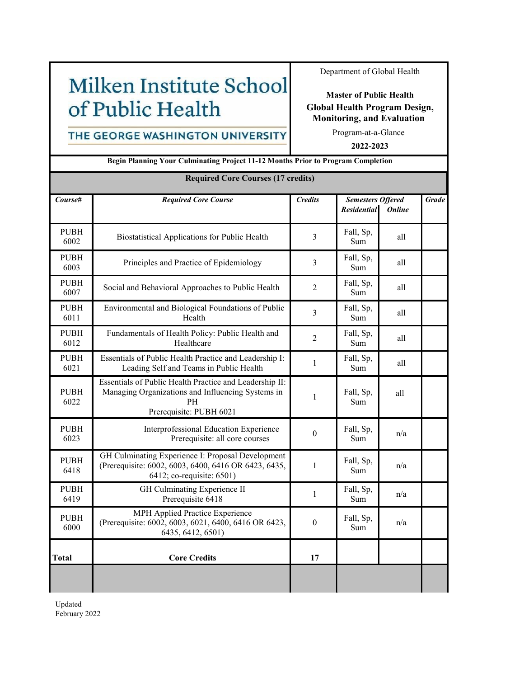# Milken Institute School of Public Health

Department of Global Health

#### **Master of Public Health Global Health Program Design, Monitoring, and Evaluation**

# THE GEORGE WASHINGTON UNIVERSITY

Program-at-a-Glance

**2022-2023**

| Begin Planning Your Culminating Project 11-12 Months Prior to Program Completion |                                                                                                                                               |                  |                                                                 |     |              |  |  |
|----------------------------------------------------------------------------------|-----------------------------------------------------------------------------------------------------------------------------------------------|------------------|-----------------------------------------------------------------|-----|--------------|--|--|
| <b>Required Core Courses (17 credits)</b>                                        |                                                                                                                                               |                  |                                                                 |     |              |  |  |
| Course#                                                                          | <b>Required Core Course</b>                                                                                                                   | <b>Credits</b>   | <b>Semesters Offered</b><br><b>Residential</b><br><b>Online</b> |     | <b>Grade</b> |  |  |
| <b>PUBH</b><br>6002                                                              | Biostatistical Applications for Public Health                                                                                                 | $\overline{3}$   | Fall, Sp,<br>Sum                                                | all |              |  |  |
| <b>PUBH</b><br>6003                                                              | Fall, Sp,<br>Principles and Practice of Epidemiology<br>$\overline{3}$<br>Sum                                                                 |                  | all                                                             |     |              |  |  |
| <b>PUBH</b><br>6007                                                              | Social and Behavioral Approaches to Public Health                                                                                             | $\overline{2}$   | Fall, Sp,<br>Sum                                                | all |              |  |  |
| <b>PUBH</b><br>6011                                                              | Environmental and Biological Foundations of Public<br>Health                                                                                  | $\overline{3}$   | Fall, Sp,<br>Sum                                                | all |              |  |  |
| <b>PUBH</b><br>6012                                                              | Fundamentals of Health Policy: Public Health and<br>Healthcare                                                                                | $\overline{2}$   | Fall, Sp,<br>Sum                                                | all |              |  |  |
| <b>PUBH</b><br>6021                                                              | Essentials of Public Health Practice and Leadership I:<br>Leading Self and Teams in Public Health                                             | 1                | Fall, Sp,<br>Sum                                                | all |              |  |  |
| <b>PUBH</b><br>6022                                                              | Essentials of Public Health Practice and Leadership II:<br>Managing Organizations and Influencing Systems in<br>PH<br>Prerequisite: PUBH 6021 | $\mathbf{1}$     | Fall, Sp,<br>Sum                                                | all |              |  |  |
| <b>PUBH</b><br>6023                                                              | Interprofessional Education Experience<br>Prerequisite: all core courses                                                                      | $\boldsymbol{0}$ | Fall, Sp,<br>Sum                                                | n/a |              |  |  |
| <b>PUBH</b><br>6418                                                              | GH Culminating Experience I: Proposal Development<br>(Prerequisite: 6002, 6003, 6400, 6416 OR 6423, 6435,<br>6412; co-requisite: 6501)        | $\mathbf{1}$     | Fall, Sp,<br>Sum                                                | n/a |              |  |  |
| <b>PUBH</b><br>6419                                                              | GH Culminating Experience II<br>Prerequisite 6418                                                                                             | $\mathbf{1}$     | Fall, Sp,<br>Sum                                                | n/a |              |  |  |
| <b>PUBH</b><br>6000                                                              | MPH Applied Practice Experience<br>(Prerequisite: 6002, 6003, 6021, 6400, 6416 OR 6423,<br>6435, 6412, 6501)                                  | $\theta$         | Fall, Sp,<br>Sum                                                | n/a |              |  |  |
| Total                                                                            | <b>Core Credits</b>                                                                                                                           | 17               |                                                                 |     |              |  |  |
|                                                                                  |                                                                                                                                               |                  |                                                                 |     |              |  |  |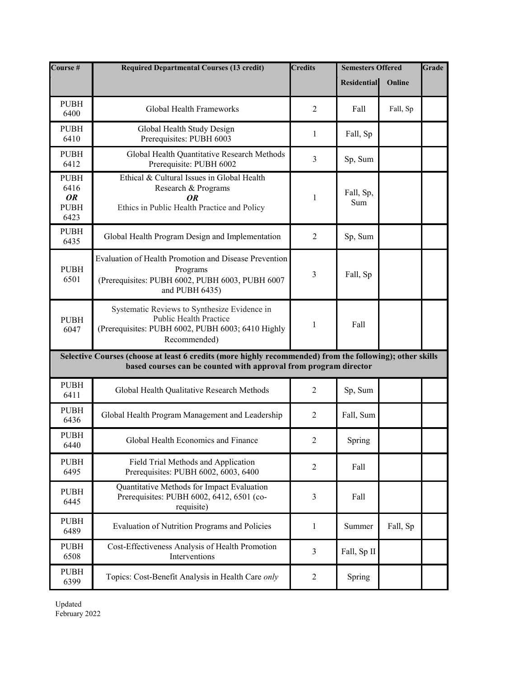| Course #                                                | <b>Required Departmental Courses (13 credit)</b>                                                                                                                             | <b>Credits</b> | <b>Semesters Offered</b> |          | Grade |
|---------------------------------------------------------|------------------------------------------------------------------------------------------------------------------------------------------------------------------------------|----------------|--------------------------|----------|-------|
|                                                         |                                                                                                                                                                              |                | <b>Residential</b>       | Online   |       |
| <b>PUBH</b><br>6400                                     | Global Health Frameworks                                                                                                                                                     | 2              | Fall                     | Fall, Sp |       |
| <b>PUBH</b><br>6410                                     | Global Health Study Design<br>Prerequisites: PUBH 6003                                                                                                                       | $\mathbf{1}$   | Fall, Sp                 |          |       |
| <b>PUBH</b><br>6412                                     | Global Health Quantitative Research Methods<br>Prerequisite: PUBH 6002                                                                                                       | 3              | Sp, Sum                  |          |       |
| <b>PUBH</b><br>6416<br><b>OR</b><br><b>PUBH</b><br>6423 | Ethical & Cultural Issues in Global Health<br>Research & Programs<br>OR<br>Ethics in Public Health Practice and Policy                                                       | 1              | Fall, Sp,<br>Sum         |          |       |
| <b>PUBH</b><br>6435                                     | Global Health Program Design and Implementation                                                                                                                              | $\overline{2}$ | Sp, Sum                  |          |       |
| <b>PUBH</b><br>6501                                     | <b>Evaluation of Health Promotion and Disease Prevention</b><br>Programs<br>(Prerequisites: PUBH 6002, PUBH 6003, PUBH 6007<br>and PUBH 6435)                                | 3              | Fall, Sp                 |          |       |
| <b>PUBH</b><br>6047                                     | Systematic Reviews to Synthesize Evidence in<br><b>Public Health Practice</b><br>(Prerequisites: PUBH 6002, PUBH 6003; 6410 Highly<br>Recommended)                           | 1              | Fall                     |          |       |
|                                                         | Selective Courses (choose at least 6 credits (more highly recommended) from the following); other skills<br>based courses can be counted with approval from program director |                |                          |          |       |
| <b>PUBH</b><br>6411                                     | Global Health Qualitative Research Methods                                                                                                                                   | $\overline{2}$ | Sp, Sum                  |          |       |
| <b>PUBH</b><br>6436                                     | Global Health Program Management and Leadership                                                                                                                              | $\overline{2}$ | Fall, Sum                |          |       |
| <b>PUBH</b><br>6440                                     | Global Health Economics and Finance                                                                                                                                          | $\overline{2}$ | Spring                   |          |       |
| <b>PUBH</b><br>6495                                     | Field Trial Methods and Application<br>Prerequisites: PUBH 6002, 6003, 6400                                                                                                  | 2              | Fall                     |          |       |
| <b>PUBH</b><br>6445                                     | Quantitative Methods for Impact Evaluation<br>Prerequisites: PUBH 6002, 6412, 6501 (co-<br>requisite)                                                                        | 3              | Fall                     |          |       |
| <b>PUBH</b><br>6489                                     | Evaluation of Nutrition Programs and Policies                                                                                                                                | 1              | Summer                   | Fall, Sp |       |
| <b>PUBH</b><br>6508                                     | Cost-Effectiveness Analysis of Health Promotion<br>Interventions                                                                                                             | 3              | Fall, Sp II              |          |       |
| <b>PUBH</b><br>6399                                     | Topics: Cost-Benefit Analysis in Health Care only                                                                                                                            | 2              | Spring                   |          |       |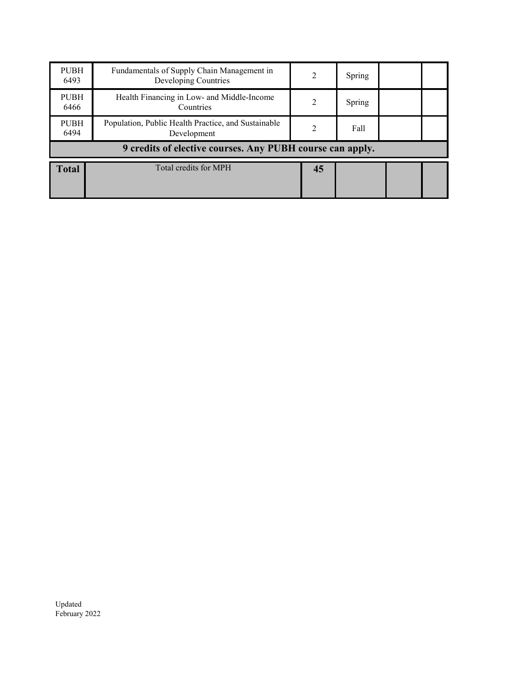| <b>PUBH</b><br>6493                                       | Fundamentals of Supply Chain Management in<br>Developing Countries | 2                             | Spring |  |  |  |  |
|-----------------------------------------------------------|--------------------------------------------------------------------|-------------------------------|--------|--|--|--|--|
| <b>PUBH</b><br>6466                                       | Health Financing in Low- and Middle-Income<br>Countries            | 2                             | Spring |  |  |  |  |
| <b>PUBH</b><br>6494                                       | Population, Public Health Practice, and Sustainable<br>Development | $\mathfrak{D}_{\mathfrak{p}}$ | Fall   |  |  |  |  |
| 9 credits of elective courses. Any PUBH course can apply. |                                                                    |                               |        |  |  |  |  |
| <b>Total</b>                                              | Total credits for MPH                                              | 45                            |        |  |  |  |  |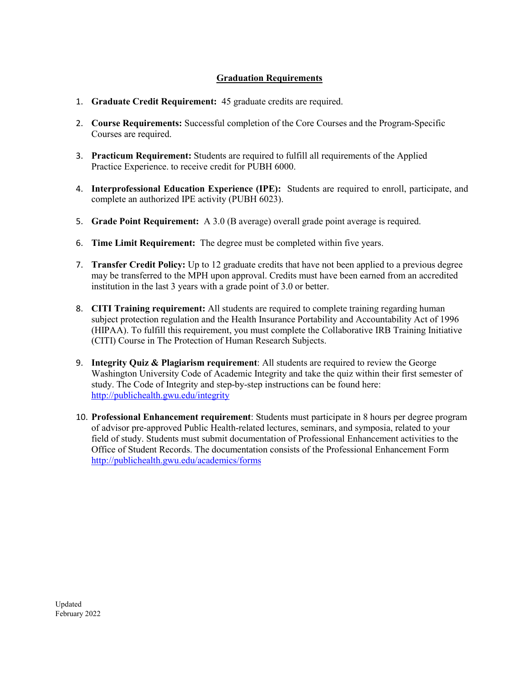# **Graduation Requirements**

- 1. **Graduate Credit Requirement:** 45 graduate credits are required.
- 2. **Course Requirements:** Successful completion of the Core Courses and the Program-Specific Courses are required.
- 3. **Practicum Requirement:** Students are required to fulfill all requirements of the Applied Practice Experience. to receive credit for PUBH 6000.
- 4. **Interprofessional Education Experience (IPE):** Students are required to enroll, participate, and complete an authorized IPE activity (PUBH 6023).
- 5. **Grade Point Requirement:** A 3.0 (B average) overall grade point average is required.
- 6. **Time Limit Requirement:** The degree must be completed within five years.
- 7. **Transfer Credit Policy:** Up to 12 graduate credits that have not been applied to a previous degree may be transferred to the MPH upon approval. Credits must have been earned from an accredited institution in the last 3 years with a grade point of 3.0 or better.
- 8. **CITI Training requirement:** All students are required to complete training regarding human subject protection regulation and the Health Insurance Portability and Accountability Act of 1996 (HIPAA). To fulfill this requirement, you must complete the Collaborative IRB Training Initiative (CITI) Course in The Protection of Human Research Subjects.
- 9. **Integrity Quiz & Plagiarism requirement**: All students are required to review the George Washington University Code of Academic Integrity and take the quiz within their first semester of study. The Code of Integrity and step-by-step instructions can be found here: <http://publichealth.gwu.edu/integrity>
- 10. **Professional Enhancement requirement**: Students must participate in 8 hours per degree program of advisor pre-approved Public Health-related lectures, seminars, and symposia, related to your field of study. Students must submit documentation of Professional Enhancement activities to the Office of Student Records. The documentation consists of the Professional Enhancement Form <http://publichealth.gwu.edu/academics/forms>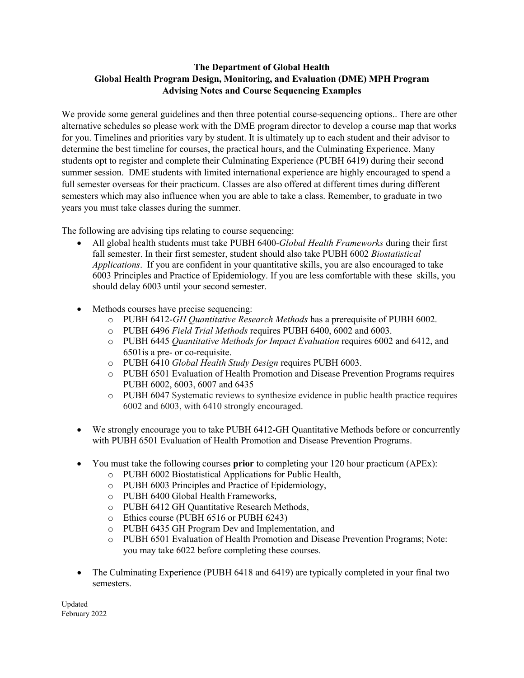# **The Department of Global Health Global Health Program Design, Monitoring, and Evaluation (DME) MPH Program Advising Notes and Course Sequencing Examples**

We provide some general guidelines and then three potential course-sequencing options.. There are other alternative schedules so please work with the DME program director to develop a course map that works for you. Timelines and priorities vary by student. It is ultimately up to each student and their advisor to determine the best timeline for courses, the practical hours, and the Culminating Experience. Many students opt to register and complete their Culminating Experience (PUBH 6419) during their second summer session. DME students with limited international experience are highly encouraged to spend a full semester overseas for their practicum. Classes are also offered at different times during different semesters which may also influence when you are able to take a class. Remember, to graduate in two years you must take classes during the summer.

The following are advising tips relating to course sequencing:

- All global health students must take PUBH 6400-*Global Health Frameworks* during their first fall semester. In their first semester, student should also take PUBH 6002 *Biostatistical Applications*. If you are confident in your quantitative skills, you are also encouraged to take 6003 Principles and Practice of Epidemiology. If you are less comfortable with these skills, you should delay 6003 until your second semester.
- Methods courses have precise sequencing:
	- o PUBH 6412-*GH Quantitative Research Methods* has a prerequisite of PUBH 6002.
	- o PUBH 6496 *Field Trial Methods* requires PUBH 6400, 6002 and 6003.
	- o PUBH 6445 *Quantitative Methods for Impact Evaluation* requires 6002 and 6412, and 6501is a pre- or co-requisite.
	- o PUBH 6410 *Global Health Study Design* requires PUBH 6003.
	- o PUBH 6501 Evaluation of Health Promotion and Disease Prevention Programs requires PUBH 6002, 6003, 6007 and 6435
	- o PUBH 6047 Systematic reviews to synthesize evidence in public health practice requires 6002 and 6003, with 6410 strongly encouraged.
- We strongly encourage you to take PUBH 6412-GH Quantitative Methods before or concurrently with PUBH 6501 Evaluation of Health Promotion and Disease Prevention Programs.
- You must take the following courses **prior** to completing your 120 hour practicum (APEx):
	- o PUBH 6002 Biostatistical Applications for Public Health,
	- o PUBH 6003 Principles and Practice of Epidemiology,
	- o PUBH 6400 Global Health Frameworks,
	- o PUBH 6412 GH Quantitative Research Methods,
	- o Ethics course (PUBH 6516 or PUBH 6243)
	- o PUBH 6435 GH Program Dev and Implementation, and
	- o PUBH 6501 Evaluation of Health Promotion and Disease Prevention Programs; Note: you may take 6022 before completing these courses.
- The Culminating Experience (PUBH 6418 and 6419) are typically completed in your final two semesters.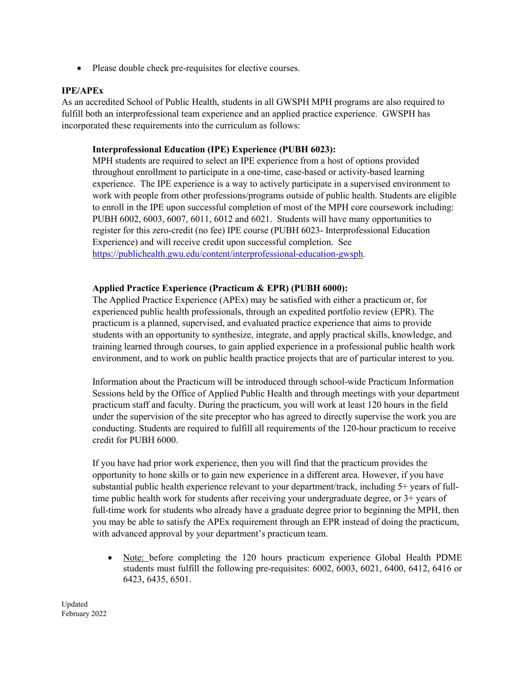• Please double check pre-requisites for elective courses.

#### **IPE/APEx**

As an accredited School of Public Health, students in all GWSPH MPH programs are also required to fulfill both an interprofessional team experience and an applied practice experience. GWSPH has incorporated these requirements into the curriculum as follows:

#### **Interprofessional Education (IPE) Experience (PUBH 6023):**

MPH students are required to select an IPE experience from a host of options provided throughout enrollment to participate in a one-time, case-based or activity-based learning experience. The IPE experience is a way to actively participate in a supervised environment to work with people from other professions/programs outside of public health. Students are eligible to enroll in the IPE upon successful completion of most of the MPH core coursework including: PUBH 6002, 6003, 6007, 6011, 6012 and 6021. Students will have many opportunities to register for this zero-credit (no fee) IPE course (PUBH 6023- Interprofessional Education Experience) and will receive credit upon successful completion. See [https://publichealth.gwu.edu/content/interprofessional-education-gwsph.](https://publichealth.gwu.edu/content/interprofessional-education-gwsph)

#### **Applied Practice Experience (Practicum & EPR) (PUBH 6000):**

The Applied Practice Experience (APEx) may be satisfied with either a practicum or, for experienced public health professionals, through an expedited portfolio review (EPR). The practicum is a planned, supervised, and evaluated practice experience that aims to provide students with an opportunity to synthesize, integrate, and apply practical skills, knowledge, and training learned through courses, to gain applied experience in a professional public health work environment, and to work on public health practice projects that are of particular interest to you.

Information about the Practicum will be introduced through school-wide Practicum Information Sessions held by the Office of Applied Public Health and through meetings with your department practicum staff and faculty. During the practicum, you will work at least 120 hours in the field under the supervision of the site preceptor who has agreed to directly supervise the work you are conducting. Students are required to fulfill all requirements of the 120-hour practicum to receive credit for PUBH 6000.

If you have had prior work experience, then you will find that the practicum provides the opportunity to hone skills or to gain new experience in a different area. However, if you have substantial public health experience relevant to your department/track, including 5+ years of fulltime public health work for students after receiving your undergraduate degree, or 3+ years of full-time work for students who already have a graduate degree prior to beginning the MPH, then you may be able to satisfy the APEx requirement through an EPR instead of doing the practicum, with advanced approval by your department's practicum team.

• Note: before completing the 120 hours practicum experience Global Health PDME students must fulfill the following pre-requisites: 6002, 6003, 6021, 6400, 6412, 6416 or 6423, 6435, 6501.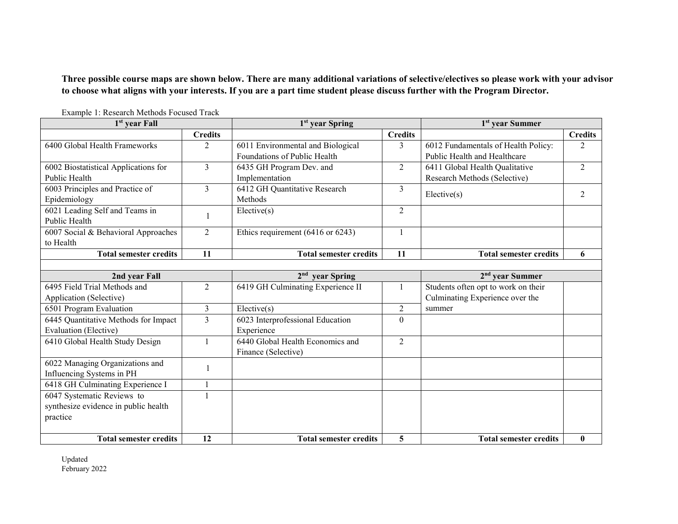**Three possible course maps are shown below. There are many additional variations of selective/electives so please work with your advisor to choose what aligns with your interests. If you are a part time student please discuss further with the Program Director.**

| 1 <sup>st</sup> year Fall            |                | 1 <sup>st</sup> year Spring       |                | 1 <sup>st</sup> year Summer         |                |  |  |
|--------------------------------------|----------------|-----------------------------------|----------------|-------------------------------------|----------------|--|--|
|                                      | <b>Credits</b> |                                   | <b>Credits</b> |                                     | <b>Credits</b> |  |  |
| 6400 Global Health Frameworks        | $\overline{2}$ | 6011 Environmental and Biological | 3              | 6012 Fundamentals of Health Policy: | $\mathfrak{D}$ |  |  |
|                                      |                | Foundations of Public Health      |                | Public Health and Healthcare        |                |  |  |
| 6002 Biostatistical Applications for | 3              | 6435 GH Program Dev. and          | $\overline{2}$ | 6411 Global Health Qualitative      | $\overline{2}$ |  |  |
| Public Health                        |                | Implementation                    |                | Research Methods (Selective)        |                |  |  |
| 6003 Principles and Practice of      | $\overline{3}$ | 6412 GH Quantitative Research     | 3              | Electric(s)                         | 2              |  |  |
| Epidemiology                         |                | Methods                           |                |                                     |                |  |  |
| 6021 Leading Self and Teams in       |                | Electric(s)                       | 2              |                                     |                |  |  |
| Public Health                        |                |                                   |                |                                     |                |  |  |
| 6007 Social & Behavioral Approaches  | 2              | Ethics requirement (6416 or 6243) |                |                                     |                |  |  |
| to Health                            |                |                                   |                |                                     |                |  |  |
| <b>Total semester credits</b>        | 11             | <b>Total semester credits</b>     | 11             | <b>Total semester credits</b>       | 6              |  |  |
|                                      |                |                                   |                |                                     |                |  |  |
| 2nd year Fall                        |                | $2nd$ year Spring                 |                | $2nd$ year Summer                   |                |  |  |
| 6495 Field Trial Methods and         | $\overline{2}$ | 6419 GH Culminating Experience II |                | Students often opt to work on their |                |  |  |
| Application (Selective)              |                |                                   |                | Culminating Experience over the     |                |  |  |
| 6501 Program Evaluation              | 3              | Elective(s)                       | $\overline{2}$ | summer                              |                |  |  |
| 6445 Quantitative Methods for Impact | $\overline{3}$ | 6023 Interprofessional Education  | $\overline{0}$ |                                     |                |  |  |
| <b>Evaluation</b> (Elective)         |                | Experience                        |                |                                     |                |  |  |
| 6410 Global Health Study Design      |                | 6440 Global Health Economics and  | $\overline{2}$ |                                     |                |  |  |
|                                      |                | Finance (Selective)               |                |                                     |                |  |  |
| 6022 Managing Organizations and      | 1              |                                   |                |                                     |                |  |  |
| Influencing Systems in PH            |                |                                   |                |                                     |                |  |  |
| 6418 GH Culminating Experience I     |                |                                   |                |                                     |                |  |  |
| 6047 Systematic Reviews to           | $\mathbf{1}$   |                                   |                |                                     |                |  |  |
| synthesize evidence in public health |                |                                   |                |                                     |                |  |  |
| practice                             |                |                                   |                |                                     |                |  |  |
|                                      |                |                                   |                |                                     |                |  |  |
| <b>Total semester credits</b>        | 12             | <b>Total semester credits</b>     | 5              | <b>Total semester credits</b>       | $\bf{0}$       |  |  |

Example 1: Research Methods Focused Track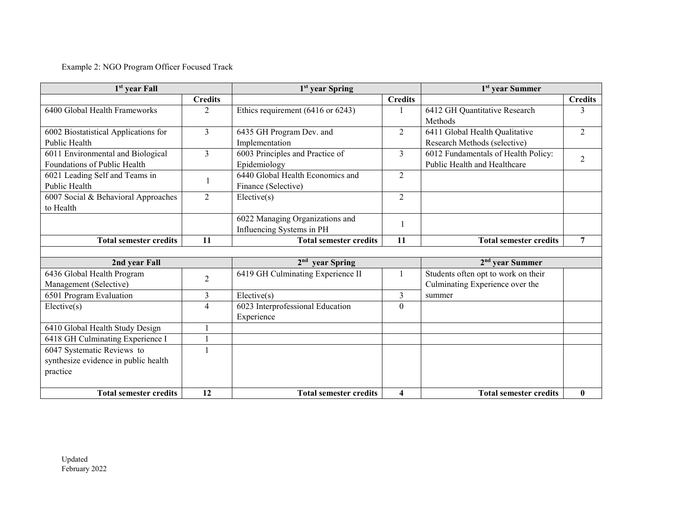# Example 2: NGO Program Officer Focused Track

| 1 <sup>st</sup> year Fall            |                | 1 <sup>st</sup> year Spring       |                         | 1 <sup>st</sup> year Summer         |                |  |
|--------------------------------------|----------------|-----------------------------------|-------------------------|-------------------------------------|----------------|--|
|                                      | <b>Credits</b> |                                   | <b>Credits</b>          |                                     | <b>Credits</b> |  |
| 6400 Global Health Frameworks        | 2              | Ethics requirement (6416 or 6243) |                         | 6412 GH Quantitative Research       | 3              |  |
|                                      |                |                                   |                         | Methods                             |                |  |
| 6002 Biostatistical Applications for | 3              | 6435 GH Program Dev. and          | $\overline{2}$          | 6411 Global Health Qualitative      | $\overline{2}$ |  |
| Public Health                        |                | Implementation                    |                         | Research Methods (selective)        |                |  |
| 6011 Environmental and Biological    | $\overline{3}$ | 6003 Principles and Practice of   | 3                       | 6012 Fundamentals of Health Policy: | $\overline{2}$ |  |
| Foundations of Public Health         |                | Epidemiology                      |                         | Public Health and Healthcare        |                |  |
| 6021 Leading Self and Teams in       |                | 6440 Global Health Economics and  | $\overline{2}$          |                                     |                |  |
| Public Health                        |                | Finance (Selective)               |                         |                                     |                |  |
| 6007 Social & Behavioral Approaches  | $\overline{2}$ | Electric(s)                       | $\overline{2}$          |                                     |                |  |
| to Health                            |                |                                   |                         |                                     |                |  |
|                                      |                | 6022 Managing Organizations and   | 1                       |                                     |                |  |
|                                      |                | Influencing Systems in PH         |                         |                                     |                |  |
| <b>Total semester credits</b>        | 11             | <b>Total semester credits</b>     | 11                      | <b>Total semester credits</b>       | 7              |  |
|                                      |                |                                   |                         |                                     |                |  |
| 2nd year Fall                        |                | 2 <sup>nd</sup> year Spring       |                         | $2nd$ year Summer                   |                |  |
| 6436 Global Health Program           | $\overline{2}$ | 6419 GH Culminating Experience II |                         | Students often opt to work on their |                |  |
| Management (Selective)               |                |                                   |                         | Culminating Experience over the     |                |  |
| 6501 Program Evaluation              | 3              | Elective(s)                       | 3                       | summer                              |                |  |
| Elective(s)                          | 4              | 6023 Interprofessional Education  | $\boldsymbol{0}$        |                                     |                |  |
|                                      |                | Experience                        |                         |                                     |                |  |
| 6410 Global Health Study Design      |                |                                   |                         |                                     |                |  |
| 6418 GH Culminating Experience I     |                |                                   |                         |                                     |                |  |
| 6047 Systematic Reviews to           |                |                                   |                         |                                     |                |  |
| synthesize evidence in public health |                |                                   |                         |                                     |                |  |
| practice                             |                |                                   |                         |                                     |                |  |
|                                      |                |                                   |                         |                                     |                |  |
| <b>Total semester credits</b>        | 12             | <b>Total semester credits</b>     | $\overline{\mathbf{4}}$ | <b>Total semester credits</b>       | $\bf{0}$       |  |